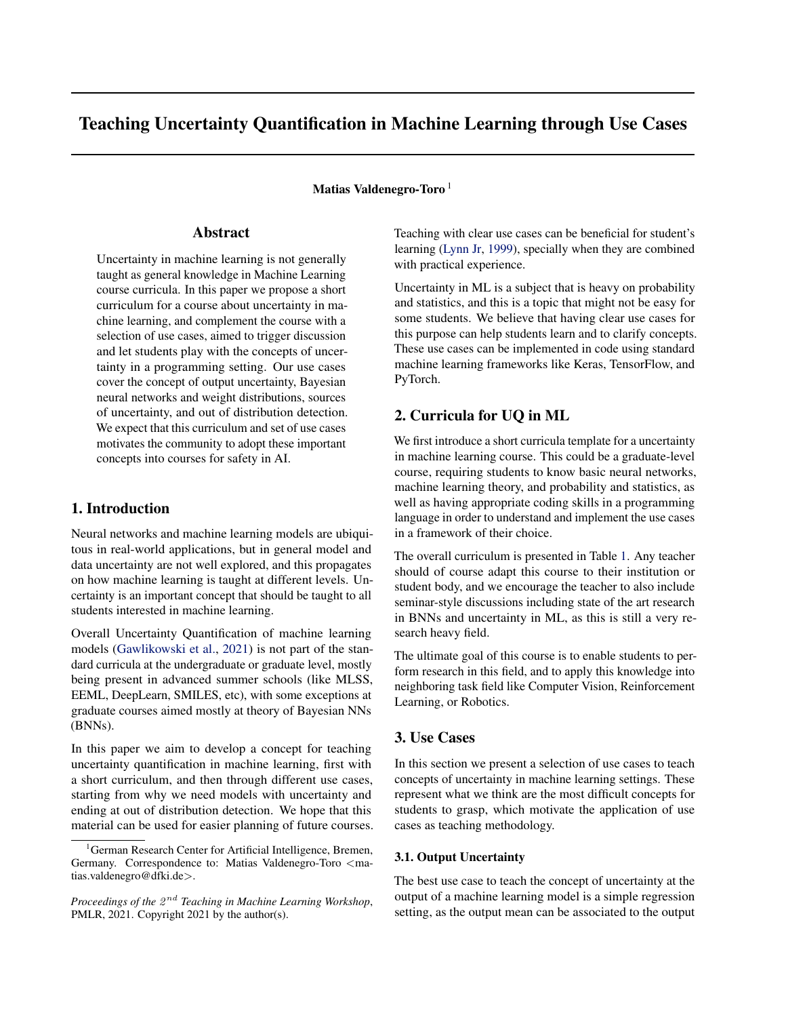# <span id="page-0-0"></span>Teaching Uncertainty Quantification in Machine Learning through Use Cases

Matias Valdenegro-Toro<sup>1</sup>

# Abstract

Uncertainty in machine learning is not generally taught as general knowledge in Machine Learning course curricula. In this paper we propose a short curriculum for a course about uncertainty in machine learning, and complement the course with a selection of use cases, aimed to trigger discussion and let students play with the concepts of uncertainty in a programming setting. Our use cases cover the concept of output uncertainty, Bayesian neural networks and weight distributions, sources of uncertainty, and out of distribution detection. We expect that this curriculum and set of use cases motivates the community to adopt these important concepts into courses for safety in AI.

## 1. Introduction

Neural networks and machine learning models are ubiquitous in real-world applications, but in general model and data uncertainty are not well explored, and this propagates on how machine learning is taught at different levels. Uncertainty is an important concept that should be taught to all students interested in machine learning.

Overall Uncertainty Quantification of machine learning models [\(Gawlikowski et al.,](#page-4-0) [2021\)](#page-4-0) is not part of the standard curricula at the undergraduate or graduate level, mostly being present in advanced summer schools (like MLSS, EEML, DeepLearn, SMILES, etc), with some exceptions at graduate courses aimed mostly at theory of Bayesian NNs (BNNs).

In this paper we aim to develop a concept for teaching uncertainty quantification in machine learning, first with a short curriculum, and then through different use cases, starting from why we need models with uncertainty and ending at out of distribution detection. We hope that this material can be used for easier planning of future courses. Teaching with clear use cases can be beneficial for student's learning [\(Lynn Jr,](#page-4-0) [1999\)](#page-4-0), specially when they are combined with practical experience.

Uncertainty in ML is a subject that is heavy on probability and statistics, and this is a topic that might not be easy for some students. We believe that having clear use cases for this purpose can help students learn and to clarify concepts. These use cases can be implemented in code using standard machine learning frameworks like Keras, TensorFlow, and PyTorch.

# 2. Curricula for UQ in ML

We first introduce a short curricula template for a uncertainty in machine learning course. This could be a graduate-level course, requiring students to know basic neural networks, machine learning theory, and probability and statistics, as well as having appropriate coding skills in a programming language in order to understand and implement the use cases in a framework of their choice.

The overall curriculum is presented in Table [1.](#page-1-0) Any teacher should of course adapt this course to their institution or student body, and we encourage the teacher to also include seminar-style discussions including state of the art research in BNNs and uncertainty in ML, as this is still a very research heavy field.

The ultimate goal of this course is to enable students to perform research in this field, and to apply this knowledge into neighboring task field like Computer Vision, Reinforcement Learning, or Robotics.

# 3. Use Cases

In this section we present a selection of use cases to teach concepts of uncertainty in machine learning settings. These represent what we think are the most difficult concepts for students to grasp, which motivate the application of use cases as teaching methodology.

#### 3.1. Output Uncertainty

The best use case to teach the concept of uncertainty at the output of a machine learning model is a simple regression setting, as the output mean can be associated to the output

<sup>&</sup>lt;sup>1</sup>German Research Center for Artificial Intelligence, Bremen, Germany. Correspondence to: Matias Valdenegro-Toro <matias.valdenegro@dfki.de>.

Proceedings of the  $2^{nd}$  Teaching in Machine Learning Workshop, PMLR, 2021. Copyright 2021 by the author(s).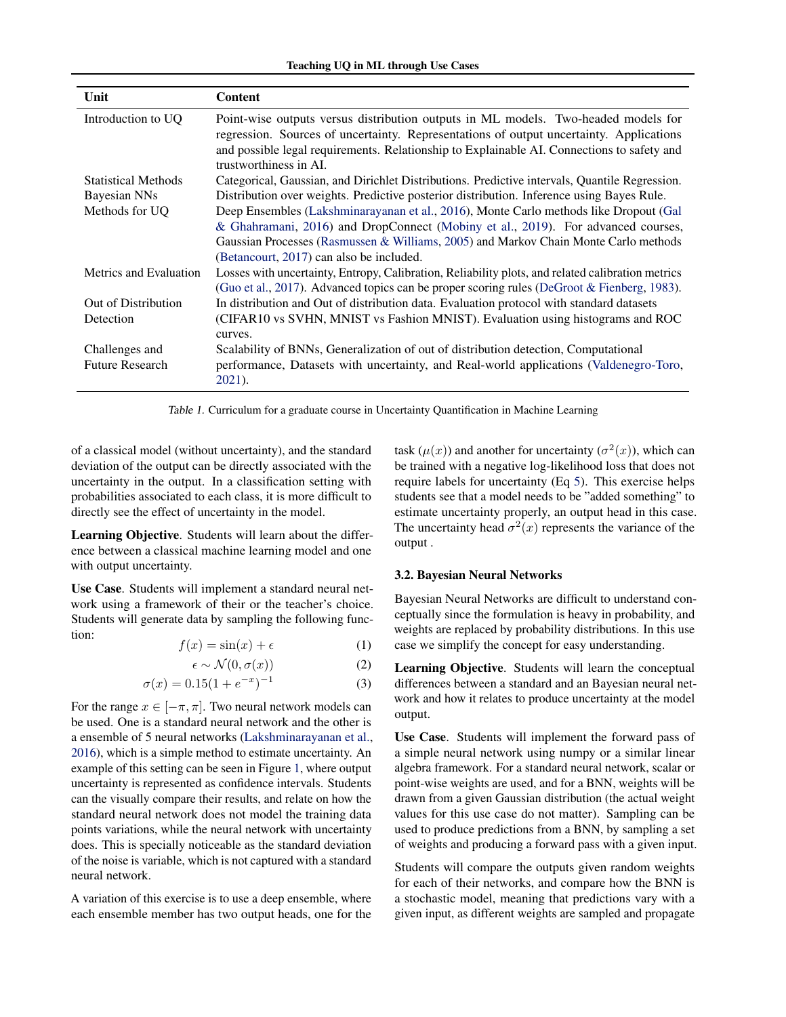| Teaching UQ in ML through Use Cases |  |  |  |  |  |
|-------------------------------------|--|--|--|--|--|
|-------------------------------------|--|--|--|--|--|

<span id="page-1-0"></span>

| Unit                       | <b>Content</b>                                                                                                                                                                                                                                                                                                |
|----------------------------|---------------------------------------------------------------------------------------------------------------------------------------------------------------------------------------------------------------------------------------------------------------------------------------------------------------|
| Introduction to UO         | Point-wise outputs versus distribution outputs in ML models. Two-headed models for<br>regression. Sources of uncertainty. Representations of output uncertainty. Applications<br>and possible legal requirements. Relationship to Explainable AI. Connections to safety and<br>trustworthiness in AL          |
| <b>Statistical Methods</b> | Categorical, Gaussian, and Dirichlet Distributions. Predictive intervals, Quantile Regression.                                                                                                                                                                                                                |
| Bayesian NNs               | Distribution over weights. Predictive posterior distribution. Inference using Bayes Rule.                                                                                                                                                                                                                     |
| Methods for UQ             | Deep Ensembles (Lakshminarayanan et al., 2016), Monte Carlo methods like Dropout (Gal<br>& Ghahramani, 2016) and DropConnect (Mobiny et al., 2019). For advanced courses,<br>Gaussian Processes (Rasmussen & Williams, 2005) and Markov Chain Monte Carlo methods<br>(Betancourt, 2017) can also be included. |
| Metrics and Evaluation     | Losses with uncertainty, Entropy, Calibration, Reliability plots, and related calibration metrics<br>(Guo et al., 2017). Advanced topics can be proper scoring rules (DeGroot & Fienberg, 1983).                                                                                                              |
| Out of Distribution        | In distribution and Out of distribution data. Evaluation protocol with standard datasets                                                                                                                                                                                                                      |
| Detection                  | (CIFAR10 vs SVHN, MNIST vs Fashion MNIST). Evaluation using histograms and ROC<br>curves.                                                                                                                                                                                                                     |
| Challenges and             | Scalability of BNNs, Generalization of out of distribution detection, Computational                                                                                                                                                                                                                           |
| <b>Future Research</b>     | performance, Datasets with uncertainty, and Real-world applications (Valdenegro-Toro,<br>$2021$ ).                                                                                                                                                                                                            |

Table 1. Curriculum for a graduate course in Uncertainty Quantification in Machine Learning

of a classical model (without uncertainty), and the standard deviation of the output can be directly associated with the uncertainty in the output. In a classification setting with probabilities associated to each class, it is more difficult to directly see the effect of uncertainty in the model.

Learning Objective. Students will learn about the difference between a classical machine learning model and one with output uncertainty.

Use Case. Students will implement a standard neural network using a framework of their or the teacher's choice. Students will generate data by sampling the following function:

$$
f(x) = \sin(x) + \epsilon \tag{1}
$$

$$
\epsilon \sim \mathcal{N}(0, \sigma(x))\tag{2}
$$

$$
\sigma(x) = 0.15(1 + e^{-x})^{-1} \tag{3}
$$

For the range  $x \in [-\pi, \pi]$ . Two neural network models can be used. One is a standard neural network and the other is a ensemble of 5 neural networks [\(Lakshminarayanan et al.,](#page-4-0) [2016\)](#page-4-0), which is a simple method to estimate uncertainty. An example of this setting can be seen in Figure [1,](#page-2-0) where output uncertainty is represented as confidence intervals. Students can the visually compare their results, and relate on how the standard neural network does not model the training data points variations, while the neural network with uncertainty does. This is specially noticeable as the standard deviation of the noise is variable, which is not captured with a standard neural network.

A variation of this exercise is to use a deep ensemble, where each ensemble member has two output heads, one for the

task  $(\mu(x))$  and another for uncertainty  $(\sigma^2(x))$ , which can be trained with a negative log-likelihood loss that does not require labels for uncertainty (Eq [5\)](#page-2-0). This exercise helps students see that a model needs to be "added something" to estimate uncertainty properly, an output head in this case. The uncertainty head  $\sigma^2(x)$  represents the variance of the output .

#### 3.2. Bayesian Neural Networks

Bayesian Neural Networks are difficult to understand conceptually since the formulation is heavy in probability, and weights are replaced by probability distributions. In this use case we simplify the concept for easy understanding.

Learning Objective. Students will learn the conceptual differences between a standard and an Bayesian neural network and how it relates to produce uncertainty at the model output.

Use Case. Students will implement the forward pass of a simple neural network using numpy or a similar linear algebra framework. For a standard neural network, scalar or point-wise weights are used, and for a BNN, weights will be drawn from a given Gaussian distribution (the actual weight values for this use case do not matter). Sampling can be used to produce predictions from a BNN, by sampling a set of weights and producing a forward pass with a given input.

Students will compare the outputs given random weights for each of their networks, and compare how the BNN is a stochastic model, meaning that predictions vary with a given input, as different weights are sampled and propagate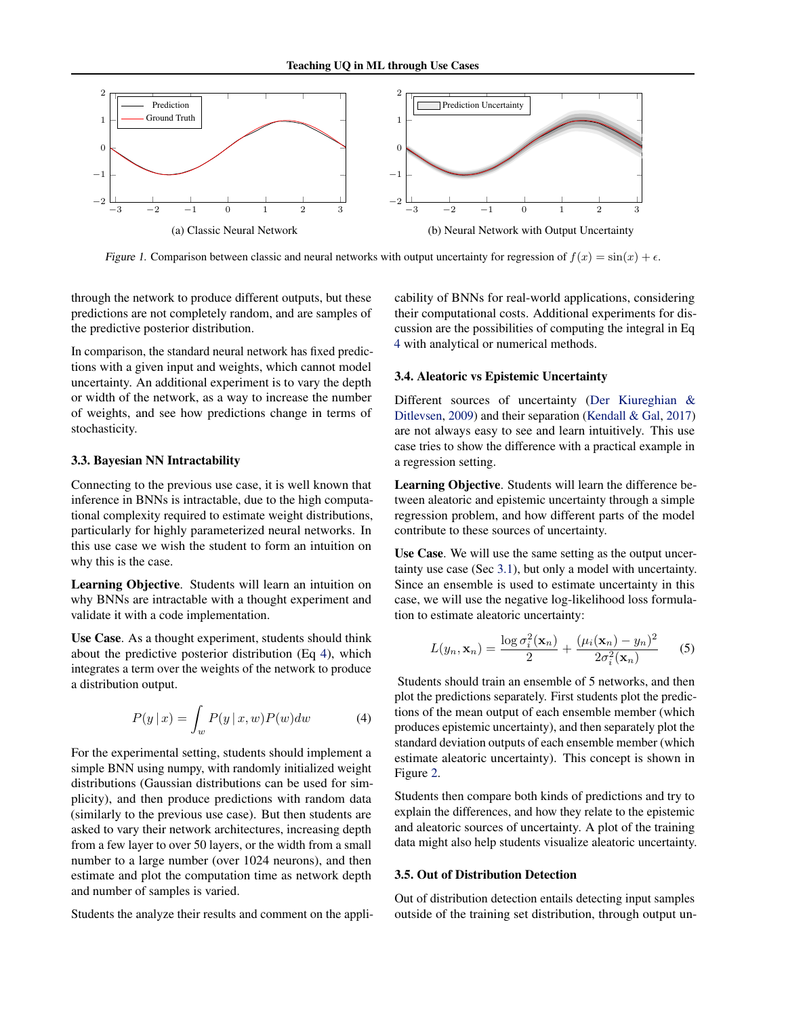<span id="page-2-0"></span>

Figure 1. Comparison between classic and neural networks with output uncertainty for regression of  $f(x) = \sin(x) + \epsilon$ .

through the network to produce different outputs, but these predictions are not completely random, and are samples of the predictive posterior distribution.

In comparison, the standard neural network has fixed predictions with a given input and weights, which cannot model uncertainty. An additional experiment is to vary the depth or width of the network, as a way to increase the number of weights, and see how predictions change in terms of stochasticity.

#### 3.3. Bayesian NN Intractability

Connecting to the previous use case, it is well known that inference in BNNs is intractable, due to the high computational complexity required to estimate weight distributions, particularly for highly parameterized neural networks. In this use case we wish the student to form an intuition on why this is the case.

Learning Objective. Students will learn an intuition on why BNNs are intractable with a thought experiment and validate it with a code implementation.

Use Case. As a thought experiment, students should think about the predictive posterior distribution (Eq 4), which integrates a term over the weights of the network to produce a distribution output.

$$
P(y \mid x) = \int_{w} P(y \mid x, w) P(w) dw \tag{4}
$$

For the experimental setting, students should implement a simple BNN using numpy, with randomly initialized weight distributions (Gaussian distributions can be used for simplicity), and then produce predictions with random data (similarly to the previous use case). But then students are asked to vary their network architectures, increasing depth from a few layer to over 50 layers, or the width from a small number to a large number (over 1024 neurons), and then estimate and plot the computation time as network depth and number of samples is varied.

Students the analyze their results and comment on the appli-

cability of BNNs for real-world applications, considering their computational costs. Additional experiments for discussion are the possibilities of computing the integral in Eq 4 with analytical or numerical methods.

#### 3.4. Aleatoric vs Epistemic Uncertainty

Different sources of uncertainty [\(Der Kiureghian &](#page-4-0) [Ditlevsen,](#page-4-0) [2009\)](#page-4-0) and their separation [\(Kendall & Gal,](#page-4-0) [2017\)](#page-4-0) are not always easy to see and learn intuitively. This use case tries to show the difference with a practical example in a regression setting.

Learning Objective. Students will learn the difference between aleatoric and epistemic uncertainty through a simple regression problem, and how different parts of the model contribute to these sources of uncertainty.

Use Case. We will use the same setting as the output uncertainty use case (Sec [3.1\)](#page-0-0), but only a model with uncertainty. Since an ensemble is used to estimate uncertainty in this case, we will use the negative log-likelihood loss formulation to estimate aleatoric uncertainty:

$$
L(y_n, \mathbf{x}_n) = \frac{\log \sigma_i^2(\mathbf{x}_n)}{2} + \frac{(\mu_i(\mathbf{x}_n) - y_n)^2}{2\sigma_i^2(\mathbf{x}_n)}
$$
(5)

Students should train an ensemble of 5 networks, and then plot the predictions separately. First students plot the predictions of the mean output of each ensemble member (which produces epistemic uncertainty), and then separately plot the standard deviation outputs of each ensemble member (which estimate aleatoric uncertainty). This concept is shown in Figure [2.](#page-3-0)

Students then compare both kinds of predictions and try to explain the differences, and how they relate to the epistemic and aleatoric sources of uncertainty. A plot of the training data might also help students visualize aleatoric uncertainty.

### 3.5. Out of Distribution Detection

Out of distribution detection entails detecting input samples outside of the training set distribution, through output un-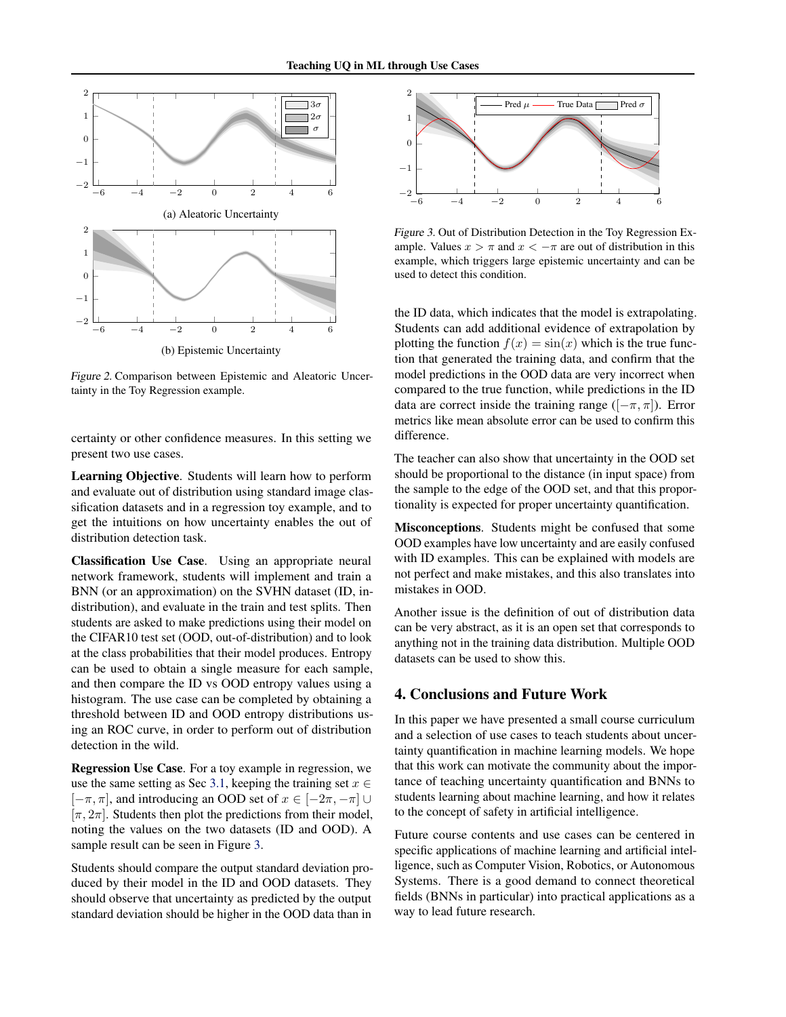<span id="page-3-0"></span>

Figure 2. Comparison between Epistemic and Aleatoric Uncertainty in the Toy Regression example.

certainty or other confidence measures. In this setting we present two use cases.

Learning Objective. Students will learn how to perform and evaluate out of distribution using standard image classification datasets and in a regression toy example, and to get the intuitions on how uncertainty enables the out of distribution detection task.

Classification Use Case. Using an appropriate neural network framework, students will implement and train a BNN (or an approximation) on the SVHN dataset (ID, indistribution), and evaluate in the train and test splits. Then students are asked to make predictions using their model on the CIFAR10 test set (OOD, out-of-distribution) and to look at the class probabilities that their model produces. Entropy can be used to obtain a single measure for each sample, and then compare the ID vs OOD entropy values using a histogram. The use case can be completed by obtaining a threshold between ID and OOD entropy distributions using an ROC curve, in order to perform out of distribution detection in the wild.

Regression Use Case. For a toy example in regression, we use the same setting as Sec [3.1,](#page-0-0) keeping the training set  $x \in$  $[-\pi, \pi]$ , and introducing an OOD set of  $x \in [-2\pi, -\pi]$  $[\pi, 2\pi]$ . Students then plot the predictions from their model, noting the values on the two datasets (ID and OOD). A sample result can be seen in Figure 3.

Students should compare the output standard deviation produced by their model in the ID and OOD datasets. They should observe that uncertainty as predicted by the output standard deviation should be higher in the OOD data than in



Figure 3. Out of Distribution Detection in the Toy Regression Example. Values  $x > \pi$  and  $x < -\pi$  are out of distribution in this example, which triggers large epistemic uncertainty and can be used to detect this condition.

the ID data, which indicates that the model is extrapolating. Students can add additional evidence of extrapolation by plotting the function  $f(x) = \sin(x)$  which is the true function that generated the training data, and confirm that the model predictions in the OOD data are very incorrect when compared to the true function, while predictions in the ID data are correct inside the training range ( $[-\pi, \pi]$ ). Error metrics like mean absolute error can be used to confirm this difference.

The teacher can also show that uncertainty in the OOD set should be proportional to the distance (in input space) from the sample to the edge of the OOD set, and that this proportionality is expected for proper uncertainty quantification.

Misconceptions. Students might be confused that some OOD examples have low uncertainty and are easily confused with ID examples. This can be explained with models are not perfect and make mistakes, and this also translates into mistakes in OOD.

Another issue is the definition of out of distribution data can be very abstract, as it is an open set that corresponds to anything not in the training data distribution. Multiple OOD datasets can be used to show this.

## 4. Conclusions and Future Work

In this paper we have presented a small course curriculum and a selection of use cases to teach students about uncertainty quantification in machine learning models. We hope that this work can motivate the community about the importance of teaching uncertainty quantification and BNNs to students learning about machine learning, and how it relates to the concept of safety in artificial intelligence.

Future course contents and use cases can be centered in specific applications of machine learning and artificial intelligence, such as Computer Vision, Robotics, or Autonomous Systems. There is a good demand to connect theoretical fields (BNNs in particular) into practical applications as a way to lead future research.